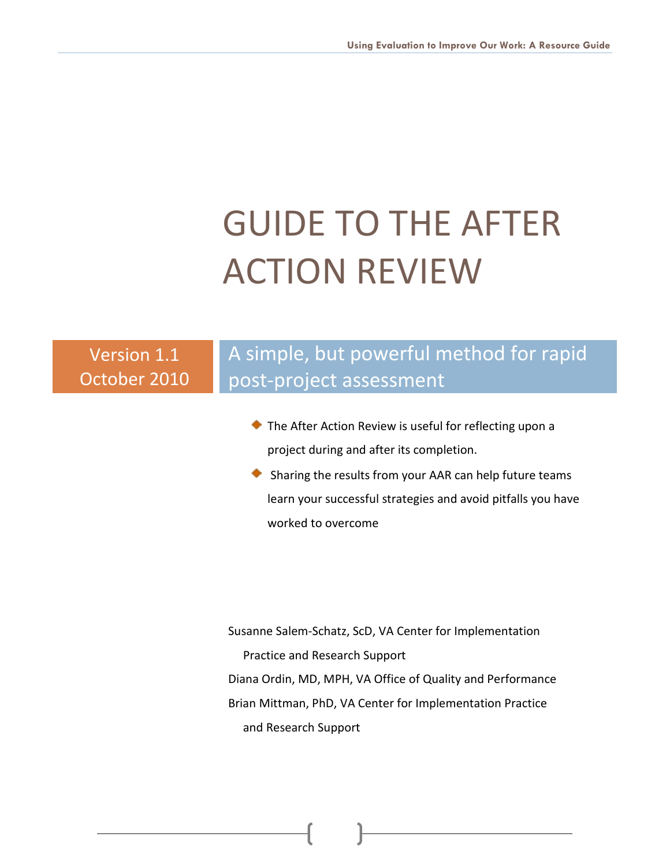# GUIDE TO THE AFTER ACTION REVIEW

# Version 1.1 October 2010

# A simple, but powerful method for rapid post-project assessment

- **The After Action Review is useful for reflecting upon a** project during and after its completion.
- $\bullet$  Sharing the results from your AAR can help future teams learn your successful strategies and avoid pitfalls you have worked to overcome

Susanne Salem-Schatz, ScD, VA Center for Implementation Practice and Research Support Diana Ordin, MD, MPH, VA Office of Quality and Performance Brian Mittman, PhD, VA Center for Implementation Practice and Research Support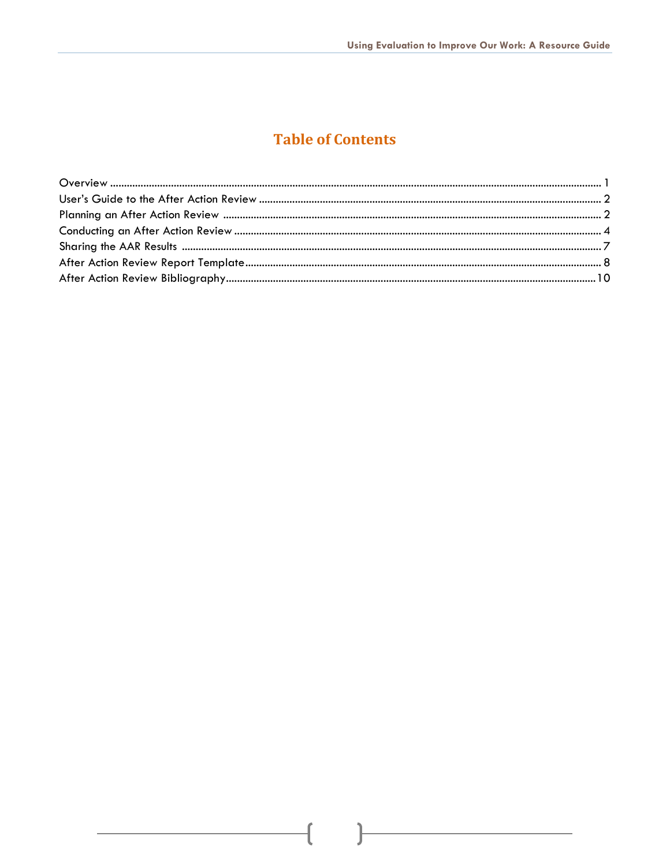## **Table of Contents**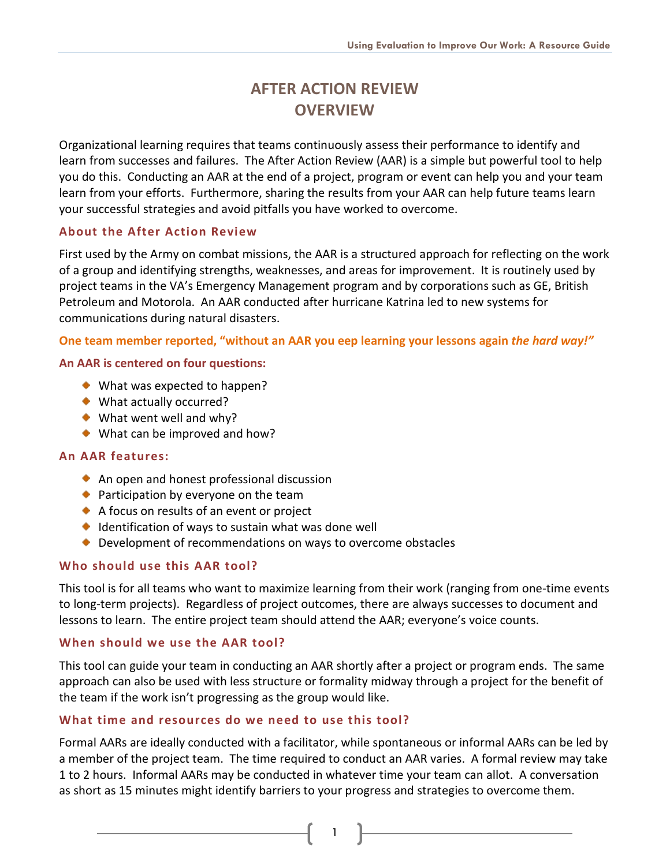## **AFTER ACTION REVIEW OVERVIEW**

Organizational learning requires that teams continuously assess their performance to identify and learn from successes and failures. The After Action Review (AAR) is a simple but powerful tool to help you do this. Conducting an AAR at the end of a project, program or event can help you and your team learn from your efforts. Furthermore, sharing the results from your AAR can help future teams learn your successful strategies and avoid pitfalls you have worked to overcome.

## **About the After Action Review**

First used by the Army on combat missions, the AAR is a structured approach for reflecting on the work of a group and identifying strengths, weaknesses, and areas for improvement. It is routinely used by project teams in the VA's Emergency Management program and by corporations such as GE, British Petroleum and Motorola. An AAR conducted after hurricane Katrina led to new systems for communications during natural disasters.

**One team member reported, "without an AAR you eep learning your lessons again** *the hard way!"*

## **An AAR is centered on four questions:**

- ◆ What was expected to happen?
- ◆ What actually occurred?
- ◆ What went well and why?
- ◆ What can be improved and how?

## **An AAR features:**

- An open and honest professional discussion
- ◆ Participation by everyone on the team
- A focus on results of an event or project
- $\bullet$  Identification of ways to sustain what was done well
- ◆ Development of recommendations on ways to overcome obstacles

## **Who should use this AAR tool?**

This tool is for all teams who want to maximize learning from their work (ranging from one-time events to long-term projects). Regardless of project outcomes, there are always successes to document and lessons to learn. The entire project team should attend the AAR; everyone's voice counts.

## **When should we use the AAR tool?**

This tool can guide your team in conducting an AAR shortly after a project or program ends. The same approach can also be used with less structure or formality midway through a project for the benefit of the team if the work isn't progressing as the group would like.

## **What time and resources do we need to use this tool?**

Formal AARs are ideally conducted with a facilitator, while spontaneous or informal AARs can be led by a member of the project team. The time required to conduct an AAR varies. A formal review may take 1 to 2 hours. Informal AARs may be conducted in whatever time your team can allot. A conversation as short as 15 minutes might identify barriers to your progress and strategies to overcome them.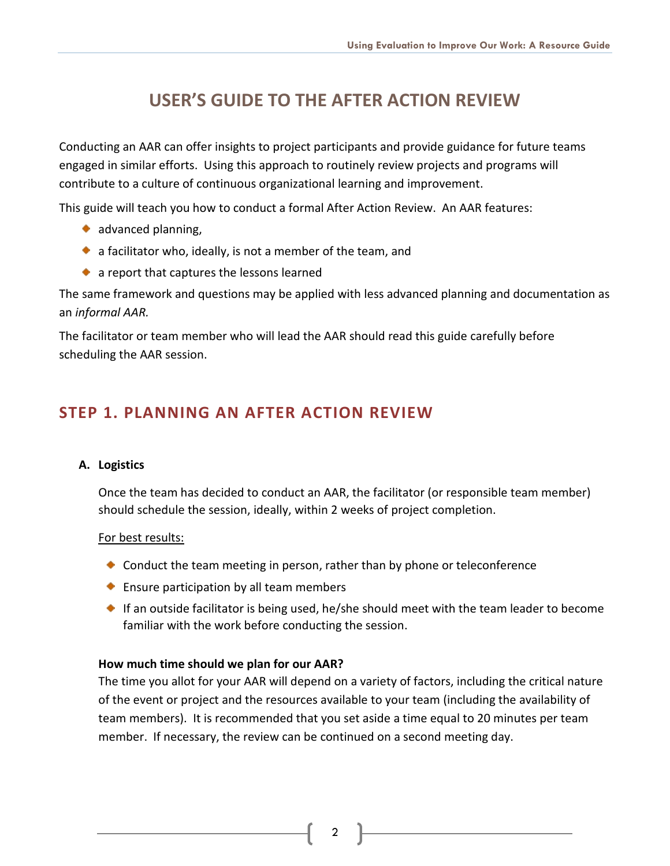# **USER'S GUIDE TO THE AFTER ACTION REVIEW**

Conducting an AAR can offer insights to project participants and provide guidance for future teams engaged in similar efforts. Using this approach to routinely review projects and programs will contribute to a culture of continuous organizational learning and improvement.

This guide will teach you how to conduct a formal After Action Review. An AAR features:

- $\bullet$  advanced planning,
- $\bullet$  a facilitator who, ideally, is not a member of the team, and
- a report that captures the lessons learned

The same framework and questions may be applied with less advanced planning and documentation as an *informal AAR.*

The facilitator or team member who will lead the AAR should read this guide carefully before scheduling the AAR session.

## **STEP 1. PLANNING AN AFTER ACTION REVIEW**

## **A. Logistics**

Once the team has decided to conduct an AAR, the facilitator (or responsible team member) should schedule the session, ideally, within 2 weeks of project completion.

## For best results:

- Conduct the team meeting in person, rather than by phone or teleconference
- ◆ Ensure participation by all team members
- If an outside facilitator is being used, he/she should meet with the team leader to become familiar with the work before conducting the session.

## **How much time should we plan for our AAR?**

The time you allot for your AAR will depend on a variety of factors, including the critical nature of the event or project and the resources available to your team (including the availability of team members). It is recommended that you set aside a time equal to 20 minutes per team member. If necessary, the review can be continued on a second meeting day.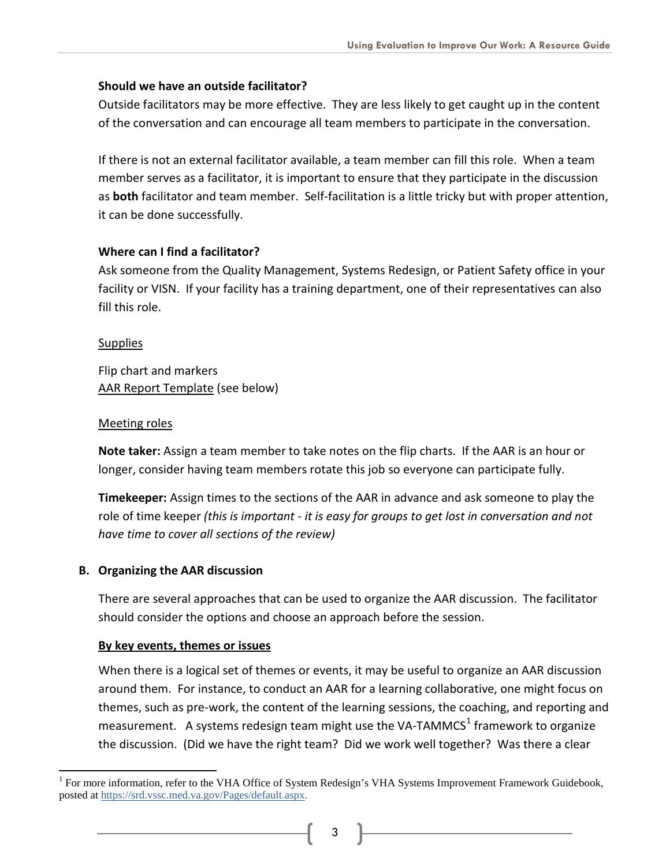## **Should we have an outside facilitator?**

Outside facilitators may be more effective. They are less likely to get caught up in the content of the conversation and can encourage all team members to participate in the conversation.

If there is not an external facilitator available, a team member can fill this role. When a team member serves as a facilitator, it is important to ensure that they participate in the discussion as **both** facilitator and team member. Self-facilitation is a little tricky but with proper attention, it can be done successfully.

## **Where can I find a facilitator?**

Ask someone from the Quality Management, Systems Redesign, or Patient Safety office in your facility or VISN. If your facility has a training department, one of their representatives can also fill this role.

## **Supplies**

Flip chart and markers [AAR Report Template](#page-9-0) (see below)

## Meeting roles

**Note taker:** Assign a team member to take notes on the flip charts. If the AAR is an hour or longer, consider having team members rotate this job so everyone can participate fully.

**Timekeeper:** Assign times to the sections of the AAR in advance and ask someone to play the role of time keeper *(this is important - it is easy for groups to get lost in conversation and not have time to cover all sections of the review)*

## **B. Organizing the AAR discussion**

There are several approaches that can be used to organize the AAR discussion. The facilitator should consider the options and choose an approach before the session.

## **By key events, themes or issues**

When there is a logical set of themes or events, it may be useful to organize an AAR discussion around them. For instance, to conduct an AAR for a learning collaborative, one might focus on themes, such as pre-work, the content of the learning sessions, the coaching, and reporting and measurement. A systems redesign team might use the VA-TAMMCS $^1$  $^1$  framework to organize the discussion. (Did we have the right team? Did we work well together? Was there a clear

<span id="page-4-0"></span><sup>1</sup> For more information, refer to the VHA Office of System Redesign's VHA Systems Improvement Framework Guidebook, posted at [https://srd.vssc.med.va.gov/Pages/default.aspx.](https://srd.vssc.med.va.gov/Pages/default.aspx)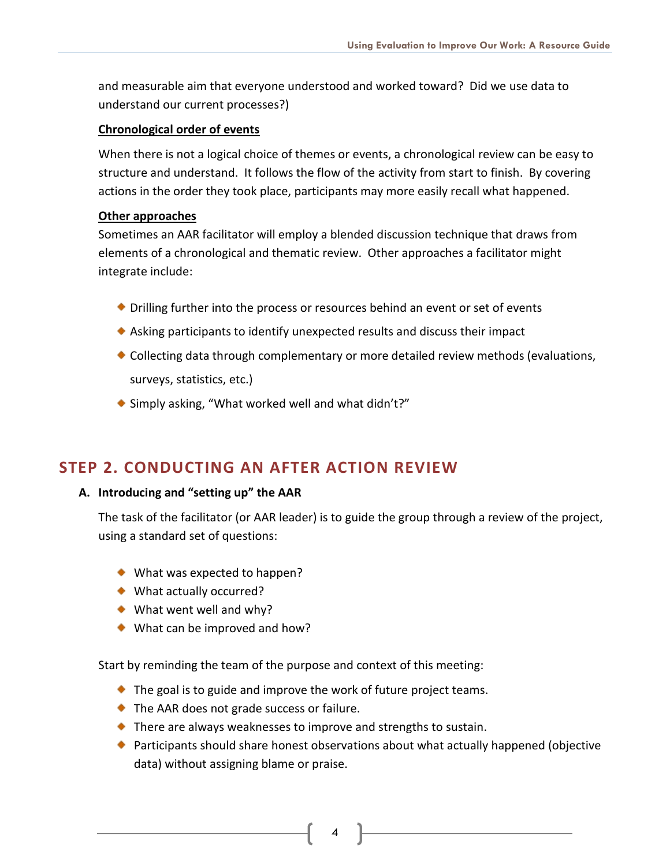and measurable aim that everyone understood and worked toward? Did we use data to understand our current processes?)

## **Chronological order of events**

When there is not a logical choice of themes or events, a chronological review can be easy to structure and understand. It follows the flow of the activity from start to finish. By covering actions in the order they took place, participants may more easily recall what happened.

#### **Other approaches**

Sometimes an AAR facilitator will employ a blended discussion technique that draws from elements of a chronological and thematic review. Other approaches a facilitator might integrate include:

- Drilling further into the process or resources behind an event or set of events
- Asking participants to identify unexpected results and discuss their impact
- Collecting data through complementary or more detailed review methods (evaluations, surveys, statistics, etc.)
- ◆ Simply asking, "What worked well and what didn't?"

## **STEP 2. CONDUCTING AN AFTER ACTION REVIEW**

## **A. Introducing and "setting up" the AAR**

The task of the facilitator (or AAR leader) is to guide the group through a review of the project, using a standard set of questions:

- ◆ What was expected to happen?
- ◆ What actually occurred?
- ◆ What went well and why?
- ◆ What can be improved and how?

Start by reminding the team of the purpose and context of this meeting:

- ◆ The goal is to guide and improve the work of future project teams.
- ◆ The AAR does not grade success or failure.
- ◆ There are always weaknesses to improve and strengths to sustain.
- ◆ Participants should share honest observations about what actually happened (objective data) without assigning blame or praise.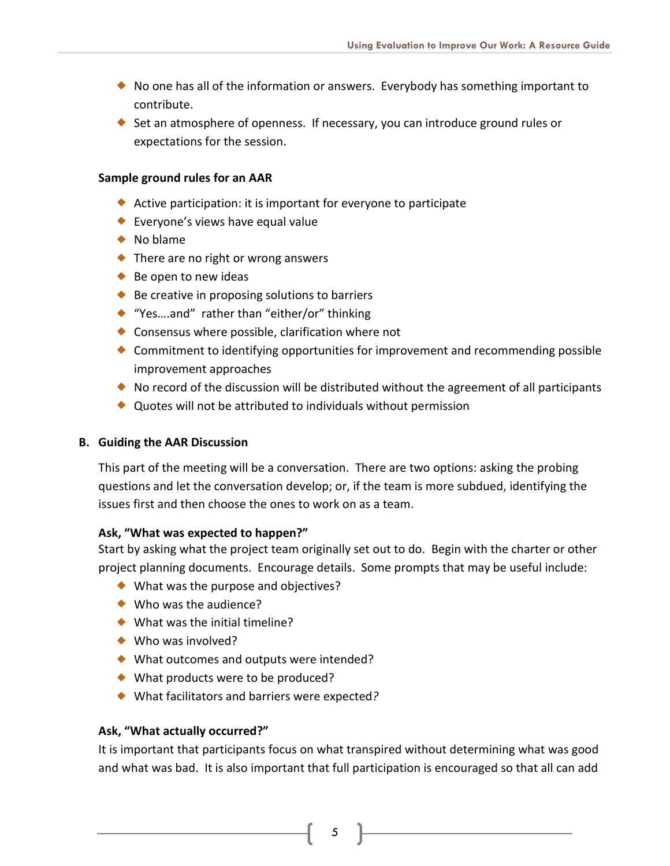- $\bullet$  No one has all of the information or answers. Everybody has something important to contribute.
- $\bullet$  Set an atmosphere of openness. If necessary, you can introduce ground rules or expectations for the session.

## **Sample ground rules for an AAR**

- Active participation: it is important for everyone to participate
- ◆ Everyone's views have equal value
- ◆ No blame
- ◆ There are no right or wrong answers
- $\bullet$  Be open to new ideas
- $\bullet$  Be creative in proposing solutions to barriers
- ◆ "Yes....and" rather than "either/or" thinking
- ◆ Consensus where possible, clarification where not
- Commitment to identifying opportunities for improvement and recommending possible improvement approaches
- $\bullet$  No record of the discussion will be distributed without the agreement of all participants
- ◆ Quotes will not be attributed to individuals without permission

## **B. Guiding the AAR Discussion**

This part of the meeting will be a conversation. There are two options: asking the probing questions and let the conversation develop; or, if the team is more subdued, identifying the issues first and then choose the ones to work on as a team.

## **Ask, "What was expected to happen?"**

Start by asking what the project team originally set out to do. Begin with the charter or other project planning documents. Encourage details. Some prompts that may be useful include:

- ◆ What was the purpose and objectives?
- ◆ Who was the audience?
- ◆ What was the initial timeline?
- ◆ Who was involved?
- ◆ What outcomes and outputs were intended?
- ◆ What products were to be produced?
- What facilitators and barriers were expected*?*

## **Ask, "What actually occurred?"**

It is important that participants focus on what transpired without determining what was good and what was bad. It is also important that full participation is encouraged so that all can add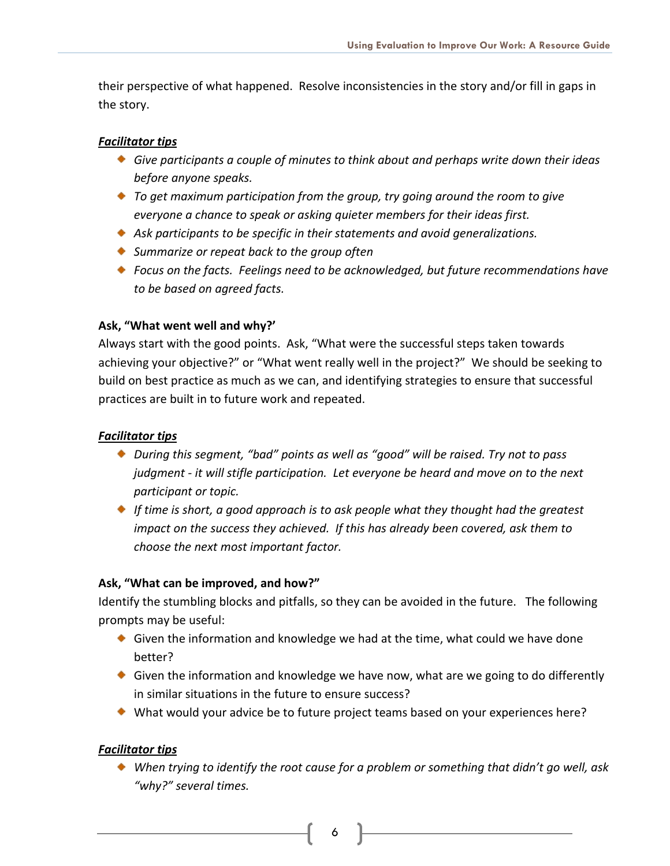their perspective of what happened. Resolve inconsistencies in the story and/or fill in gaps in the story.

## *Facilitator tips*

- *Give participants a couple of minutes to think about and perhaps write down their ideas before anyone speaks.*
- *To get maximum participation from the group, try going around the room to give everyone a chance to speak or asking quieter members for their ideas first.*
- *Ask participants to be specific in their statements and avoid generalizations.*
- *Summarize or repeat back to the group often*
- *Focus on the facts. Feelings need to be acknowledged, but future recommendations have to be based on agreed facts.*

## **Ask, "What went well and why?'**

Always start with the good points. Ask, "What were the successful steps taken towards achieving your objective?" or "What went really well in the project?" We should be seeking to build on best practice as much as we can, and identifying strategies to ensure that successful practices are built in to future work and repeated.

## *Facilitator tips*

- *During this segment, "bad" points as well as "good" will be raised. Try not to pass judgment - it will stifle participation. Let everyone be heard and move on to the next participant or topic.*
- *If time is short, a good approach is to ask people what they thought had the greatest impact on the success they achieved. If this has already been covered, ask them to choose the next most important factor.*

## **Ask, "What can be improved, and how?"**

Identify the stumbling blocks and pitfalls, so they can be avoided in the future. The following prompts may be useful:

- Given the information and knowledge we had at the time, what could we have done better?
- Given the information and knowledge we have now, what are we going to do differently in similar situations in the future to ensure success?
- What would your advice be to future project teams based on your experiences here?

## *Facilitator tips*

*When trying to identify the root cause for a problem or something that didn't go well, ask "why?" several times.*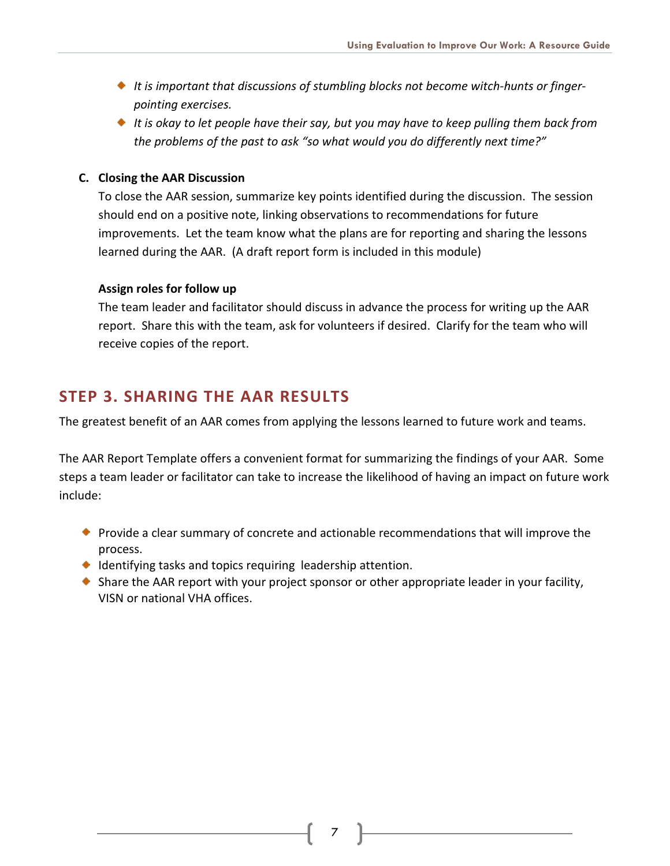- *It is important that discussions of stumbling blocks not become witch-hunts or fingerpointing exercises.*
- *It is okay to let people have their say, but you may have to keep pulling them back from the problems of the past to ask "so what would you do differently next time?"*

## **C. Closing the AAR Discussion**

To close the AAR session, summarize key points identified during the discussion. The session should end on a positive note, linking observations to recommendations for future improvements. Let the team know what the plans are for reporting and sharing the lessons learned during the AAR. (A draft report form is included in this module)

## **Assign roles for follow up**

The team leader and facilitator should discuss in advance the process for writing up the AAR report. Share this with the team, ask for volunteers if desired. Clarify for the team who will receive copies of the report.

## **STEP 3. SHARING THE AAR RESULTS**

The greatest benefit of an AAR comes from applying the lessons learned to future work and teams.

The AAR Report Template offers a convenient format for summarizing the findings of your AAR. Some steps a team leader or facilitator can take to increase the likelihood of having an impact on future work include:

- **Provide a clear summary of concrete and actionable recommendations that will improve the** process.
- $\bullet$  Identifying tasks and topics requiring leadership attention.
- $\bullet$  Share the AAR report with your project sponsor or other appropriate leader in your facility, VISN or national VHA offices.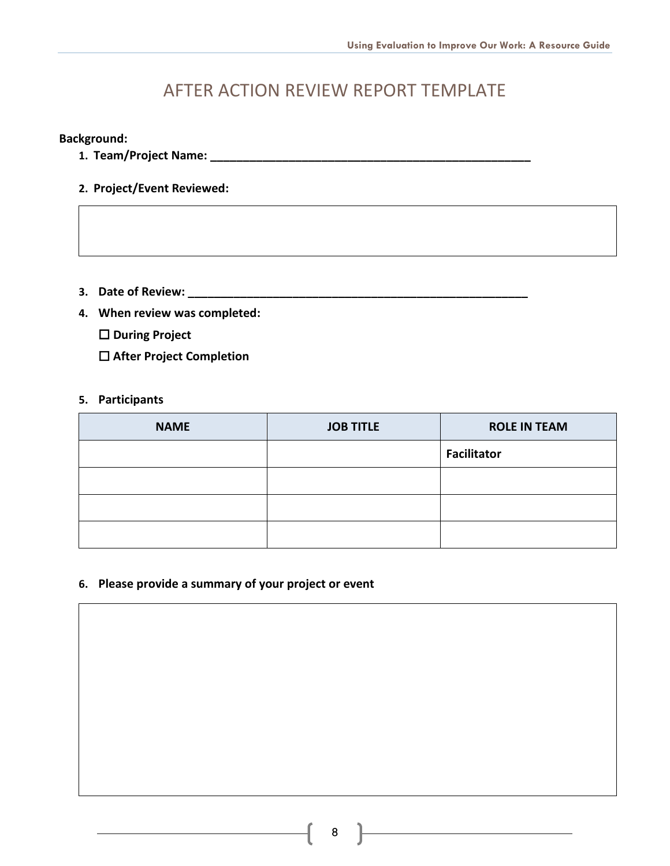# AFTER ACTION REVIEW REPORT TEMPLATE

## <span id="page-9-0"></span>**Background:**

- **1. Team/Project Name: \_\_\_\_\_\_\_\_\_\_\_\_\_\_\_\_\_\_\_\_\_\_\_\_\_\_\_\_\_\_\_\_\_\_\_\_\_\_\_\_\_\_\_\_\_\_\_\_\_**
- **2. Project/Event Reviewed:**

- **3. Date of Review: \_\_\_\_\_\_\_\_\_\_\_\_\_\_\_\_\_\_\_\_\_\_\_\_\_\_\_\_\_\_\_\_\_\_\_\_\_\_\_\_\_\_\_\_\_\_\_\_\_\_\_\_**
- **4. When review was completed:**
	- **During Project**
	- **After Project Completion**

#### **5. Participants**

| <b>NAME</b> | <b>JOB TITLE</b> | <b>ROLE IN TEAM</b> |
|-------------|------------------|---------------------|
|             |                  | <b>Facilitator</b>  |
|             |                  |                     |
|             |                  |                     |
|             |                  |                     |

## **6. Please provide a summary of your project or event**

<u> 1989 - Johann Barbara, martxa alemaniar a</u>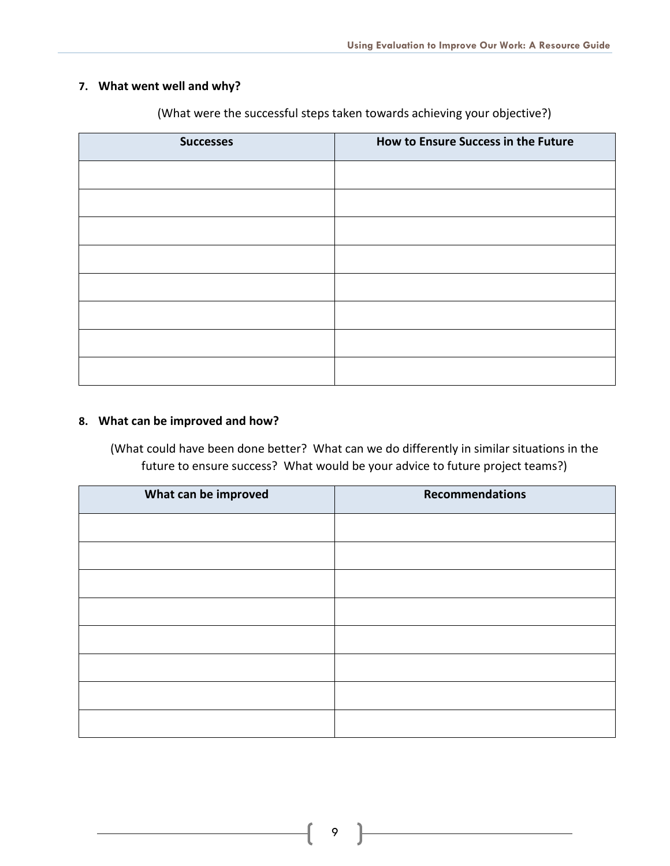## **7. What went well and why?**

| <b>Successes</b> | How to Ensure Success in the Future |
|------------------|-------------------------------------|
|                  |                                     |
|                  |                                     |
|                  |                                     |
|                  |                                     |
|                  |                                     |
|                  |                                     |
|                  |                                     |
|                  |                                     |

(What were the successful steps taken towards achieving your objective?)

## **8. What can be improved and how?**

(What could have been done better? What can we do differently in similar situations in the future to ensure success? What would be your advice to future project teams?)

| What can be improved | <b>Recommendations</b> |
|----------------------|------------------------|
|                      |                        |
|                      |                        |
|                      |                        |
|                      |                        |
|                      |                        |
|                      |                        |
|                      |                        |
|                      |                        |